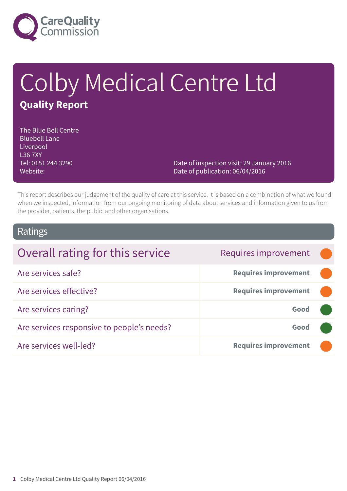

# Colby Medical Centre Ltd **Quality Report**

The Blue Bell Centre Bluebell Lane **Liverpool** L36 7XY Tel: 0151 244 3290 Website:

Date of inspection visit: 29 January 2016 Date of publication: 06/04/2016

This report describes our judgement of the quality of care at this service. It is based on a combination of what we found when we inspected, information from our ongoing monitoring of data about services and information given to us from the provider, patients, the public and other organisations.

### Ratings

| Overall rating for this service            | Requires improvement        |  |
|--------------------------------------------|-----------------------------|--|
| Are services safe?                         | <b>Requires improvement</b> |  |
| Are services effective?                    | <b>Requires improvement</b> |  |
| Are services caring?                       | Good                        |  |
| Are services responsive to people's needs? | Good                        |  |
| Are services well-led?                     | <b>Requires improvement</b> |  |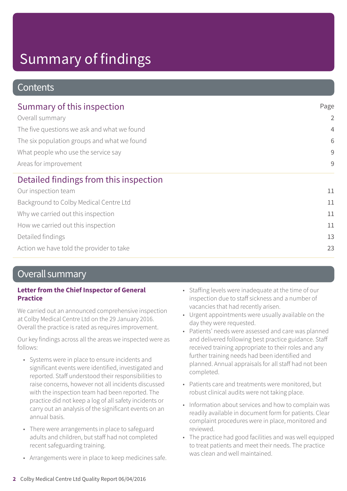### **Contents**

| Summary of this inspection                                                                                                                                                    | Page           |
|-------------------------------------------------------------------------------------------------------------------------------------------------------------------------------|----------------|
| Overall summary<br>The five questions we ask and what we found<br>The six population groups and what we found<br>What people who use the service say<br>Areas for improvement | $\overline{2}$ |
|                                                                                                                                                                               | $\overline{4}$ |
|                                                                                                                                                                               | 6              |
|                                                                                                                                                                               | 9              |
|                                                                                                                                                                               | 9              |
| Detailed findings from this inspection                                                                                                                                        |                |
| Our inspection team                                                                                                                                                           | 11             |
| Background to Colby Medical Centre Ltd                                                                                                                                        | 11             |
| Why we carried out this inspection                                                                                                                                            | 11             |
| How we carried out this inspection                                                                                                                                            | 11             |
| Detailed findings                                                                                                                                                             | 13             |
| Action we have told the provider to take                                                                                                                                      | 23             |

### Overall summary

#### **Letter from the Chief Inspector of General Practice**

We carried out an announced comprehensive inspection at Colby Medical Centre Ltd on the 29 January 2016. Overall the practice is rated as requires improvement.

Our key findings across all the areas we inspected were as follows:

- Systems were in place to ensure incidents and significant events were identified, investigated and reported. Staff understood their responsibilities to raise concerns, however not all incidents discussed with the inspection team had been reported. The practice did not keep a log of all safety incidents or carry out an analysis of the significant events on an annual basis.
- There were arrangements in place to safeguard adults and children, but staff had not completed recent safeguarding training.
- Arrangements were in place to keep medicines safe.
- Staffing levels were inadequate at the time of our inspection due to staff sickness and a number of vacancies that had recently arisen.
- Urgent appointments were usually available on the day they were requested.
- Patients' needs were assessed and care was planned and delivered following best practice guidance. Staff received training appropriate to their roles and any further training needs had been identified and planned. Annual appraisals for all staff had not been completed.
- Patients care and treatments were monitored, but robust clinical audits were not taking place.
- Information about services and how to complain was readily available in document form for patients. Clear complaint procedures were in place, monitored and reviewed.
- The practice had good facilities and was well equipped to treat patients and meet their needs. The practice was clean and well maintained.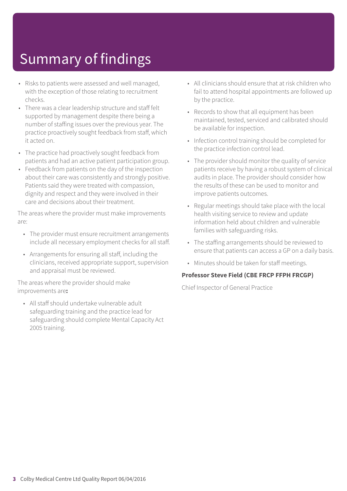- Risks to patients were assessed and well managed, with the exception of those relating to recruitment checks.
- There was a clear leadership structure and staff felt supported by management despite there being a number of staffing issues over the previous year. The practice proactively sought feedback from staff, which it acted on.
- The practice had proactively sought feedback from patients and had an active patient participation group.
- Feedback from patients on the day of the inspection about their care was consistently and strongly positive. Patients said they were treated with compassion, dignity and respect and they were involved in their care and decisions about their treatment.

The areas where the provider must make improvements are:

- The provider must ensure recruitment arrangements include all necessary employment checks for all staff.
- Arrangements for ensuring all staff, including the clinicians, received appropriate support, supervision and appraisal must be reviewed.

The areas where the provider should make improvements are**:**

• All staff should undertake vulnerable adult safeguarding training and the practice lead for safeguarding should complete Mental Capacity Act 2005 training.

- All clinicians should ensure that at risk children who fail to attend hospital appointments are followed up by the practice.
- Records to show that all equipment has been maintained, tested, serviced and calibrated should be available for inspection.
- Infection control training should be completed for the practice infection control lead.
- The provider should monitor the quality of service patients receive by having a robust system of clinical audits in place. The provider should consider how the results of these can be used to monitor and improve patients outcomes.
- Regular meetings should take place with the local health visiting service to review and update information held about children and vulnerable families with safeguarding risks.
- The staffing arrangements should be reviewed to ensure that patients can access a GP on a daily basis.
- Minutes should be taken for staff meetings.

#### **Professor Steve Field (CBE FRCP FFPH FRCGP)**

Chief Inspector of General Practice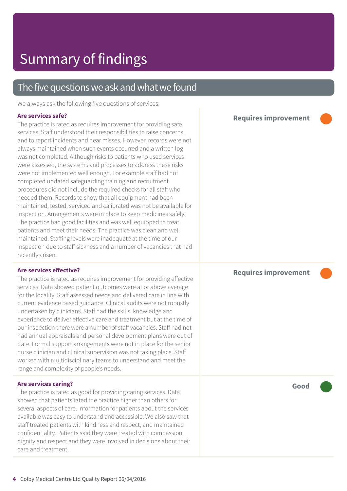### The five questions we ask and what we found

We always ask the following five questions of services.

#### **Are services safe?**

The practice is rated as requires improvement for providing safe services. Staff understood their responsibilities to raise concerns, and to report incidents and near misses. However, records were not always maintained when such events occurred and a written log was not completed. Although risks to patients who used services were assessed, the systems and processes to address these risks were not implemented well enough. For example staff had not completed updated safeguarding training and recruitment procedures did not include the required checks for all staff who needed them. Records to show that all equipment had been maintained, tested, serviced and calibrated was not be available for inspection. Arrangements were in place to keep medicines safely. The practice had good facilities and was well equipped to treat patients and meet their needs. The practice was clean and well maintained. Staffing levels were inadequate at the time of our inspection due to staff sickness and a number of vacancies that had recently arisen.

#### **Are services effective?**

The practice is rated as requires improvement for providing effective services. Data showed patient outcomes were at or above average for the locality. Staff assessed needs and delivered care in line with current evidence based guidance. Clinical audits were not robustly undertaken by clinicians. Staff had the skills, knowledge and experience to deliver effective care and treatment but at the time of our inspection there were a number of staff vacancies. Staff had not had annual appraisals and personal development plans were out of date. Formal support arrangements were not in place for the senior nurse clinician and clinical supervision was not taking place. Staff worked with multidisciplinary teams to understand and meet the range and complexity of people's needs.

#### **Are services caring?**

The practice is rated as good for providing caring services. Data showed that patients rated the practice higher than others for several aspects of care. Information for patients about the services available was easy to understand and accessible. We also saw that staff treated patients with kindness and respect, and maintained confidentiality. Patients said they were treated with compassion, dignity and respect and they were involved in decisions about their care and treatment.

**Good –––**

#### **Requires improvement –––**

**Requires improvement –––**

**4** Colby Medical Centre Ltd Quality Report 06/04/2016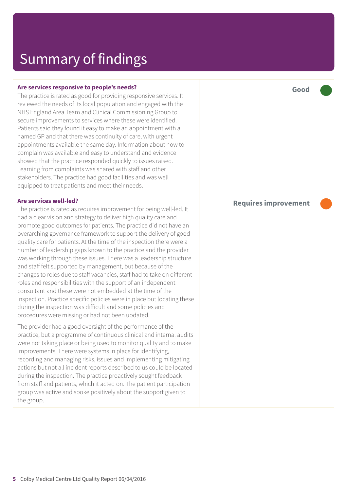#### **Are services responsive to people's needs?**

The practice is rated as good for providing responsive services. It reviewed the needs of its local population and engaged with the NHS England Area Team and Clinical Commissioning Group to secure improvements to services where these were identified. Patients said they found it easy to make an appointment with a named GP and that there was continuity of care, with urgent appointments available the same day. Information about how to complain was available and easy to understand and evidence showed that the practice responded quickly to issues raised. Learning from complaints was shared with staff and other stakeholders. The practice had good facilities and was well equipped to treat patients and meet their needs.

#### **Are services well-led?**

The practice is rated as requires improvement for being well-led. It had a clear vision and strategy to deliver high quality care and promote good outcomes for patients. The practice did not have an overarching governance framework to support the delivery of good quality care for patients. At the time of the inspection there were a number of leadership gaps known to the practice and the provider was working through these issues. There was a leadership structure and staff felt supported by management, but because of the changes to roles due to staff vacancies, staff had to take on different roles and responsibilities with the support of an independent consultant and these were not embedded at the time of the inspection. Practice specific policies were in place but locating these during the inspection was difficult and some policies and procedures were missing or had not been updated.

The provider had a good oversight of the performance of the practice, but a programme of continuous clinical and internal audits were not taking place or being used to monitor quality and to make improvements. There were systems in place for identifying, recording and managing risks, issues and implementing mitigating actions but not all incident reports described to us could be located during the inspection. The practice proactively sought feedback from staff and patients, which it acted on. The patient participation group was active and spoke positively about the support given to the group.

**Good –––**

#### **Requires improvement –––**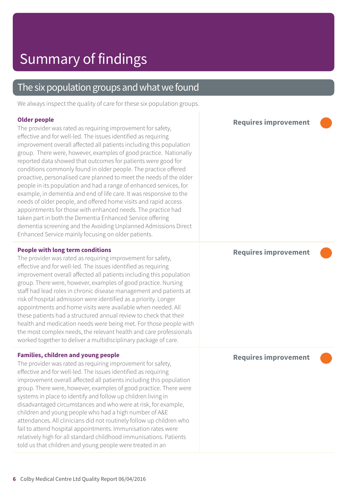### The six population groups and what we found

We always inspect the quality of care for these six population groups.

#### **Older people**

The provider was rated as requiring improvement for safety, effective and for well-led. The issues identified as requiring improvement overall affected all patients including this population group. There were, however, examples of good practice. Nationally reported data showed that outcomes for patients were good for conditions commonly found in older people. The practice offered proactive, personalised care planned to meet the needs of the older people in its population and had a range of enhanced services, for example, in dementia and end of life care. It was responsive to the needs of older people, and offered home visits and rapid access appointments for those with enhanced needs. The practice had taken part in both the Dementia Enhanced Service offering dementia screening and the Avoiding Unplanned Admissions Direct Enhanced Service mainly focusing on older patients.

#### **People with long term conditions**

The provider was rated as requiring improvement for safety, effective and for well-led. The issues identified as requiring improvement overall affected all patients including this population group. There were, however, examples of good practice. Nursing staff had lead roles in chronic disease management and patients at risk of hospital admission were identified as a priority. Longer appointments and home visits were available when needed. All these patients had a structured annual review to check that their health and medication needs were being met. For those people with the most complex needs, the relevant health and care professionals worked together to deliver a multidisciplinary package of care.

#### **Families, children and young people**

The provider was rated as requiring improvement for safety, effective and for well-led. The issues identified as requiring improvement overall affected all patients including this population group. There were, however, examples of good practice. There were systems in place to identify and follow up children living in disadvantaged circumstances and who were at risk, for example, children and young people who had a high number of A&E attendances. All clinicians did not routinely follow up children who fail to attend hospital appointments. Immunisation rates were relatively high for all standard childhood immunisations. Patients told us that children and young people were treated in an

**Requires improvement –––**

**Requires improvement –––**

**Requires improvement –––**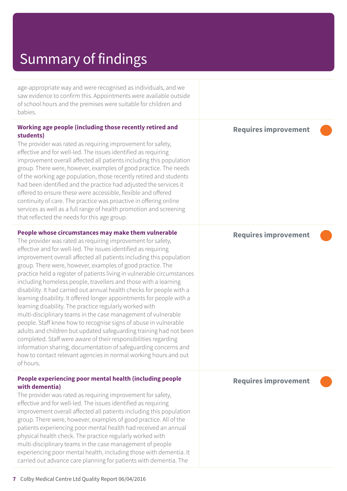age-appropriate way and were recognised as individuals, and we saw evidence to confirm this. Appointments were available outside of school hours and the premises were suitable for children and babies.

#### **Working age people (including those recently retired and students)**

The provider was rated as requiring improvement for safety, effective and for well-led. The issues identified as requiring improvement overall affected all patients including this population group. There were, however, examples of good practice. The needs of the working age population, those recently retired and students had been identified and the practice had adjusted the services it offered to ensure these were accessible, flexible and offered continuity of care. The practice was proactive in offering online services as well as a full range of health promotion and screening that reflected the needs for this age group.

#### **People whose circumstances may make them vulnerable**

The provider was rated as requiring improvement for safety, effective and for well-led. The issues identified as requiring improvement overall affected all patients including this population group. There were, however, examples of good practice. The practice held a register of patients living in vulnerable circumstances including homeless people, travellers and those with a learning disability. It had carried out annual health checks for people with a learning disability. It offered longer appointments for people with a learning disability. The practice regularly worked with multi-disciplinary teams in the case management of vulnerable people. Staff knew how to recognise signs of abuse in vulnerable adults and children but updated safeguarding training had not been completed. Staff were aware of their responsibilities regarding information sharing, documentation of safeguarding concerns and how to contact relevant agencies in normal working hours and out of hours.

#### **People experiencing poor mental health (including people with dementia)**

The provider was rated as requiring improvement for safety, effective and for well-led. The issues identified as requiring improvement overall affected all patients including this population group. There were, however, examples of good practice. All of the patients experiencing poor mental health had received an annual physical health check. The practice regularly worked with multi-disciplinary teams in the case management of people experiencing poor mental health, including those with dementia. It carried out advance care planning for patients with dementia. The

**Requires improvement –––**

**Requires improvement –––**

**Requires improvement –––**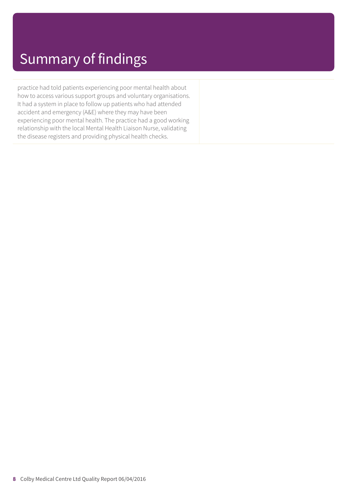practice had told patients experiencing poor mental health about how to access various support groups and voluntary organisations. It had a system in place to follow up patients who had attended accident and emergency (A&E) where they may have been experiencing poor mental health. The practice had a good working relationship with the local Mental Health Liaison Nurse, validating the disease registers and providing physical health checks.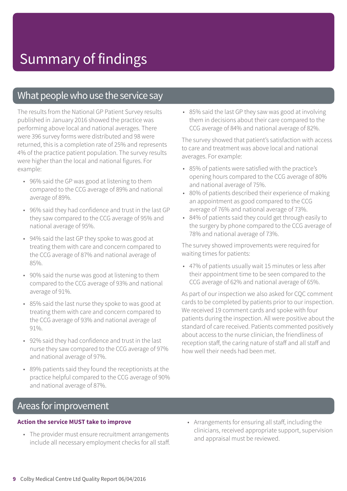### What people who use the service say

The results from the National GP Patient Survey results published in January 2016 showed the practice was performing above local and national averages. There were 396 survey forms were distributed and 98 were returned, this is a completion rate of 25% and represents 4% of the practice patient population. The survey results were higher than the local and national figures. For example:

- 96% said the GP was good at listening to them compared to the CCG average of 89% and national average of 89%.
- 96% said they had confidence and trust in the last GP they saw compared to the CCG average of 95% and national average of 95%.
- 94% said the last GP they spoke to was good at treating them with care and concern compared to the CCG average of 87% and national average of 85%.
- 90% said the nurse was good at listening to them compared to the CCG average of 93% and national average of 91%.
- 85% said the last nurse they spoke to was good at treating them with care and concern compared to the CCG average of 93% and national average of 91%.
- 92% said they had confidence and trust in the last nurse they saw compared to the CCG average of 97% and national average of 97%.
- 89% patients said they found the receptionists at the practice helpful compared to the CCG average of 90% and national average of 87%.

• 85% said the last GP they saw was good at involving them in decisions about their care compared to the CCG average of 84% and national average of 82%.

The survey showed that patient's satisfaction with access to care and treatment was above local and national averages. For example:

- 85% of patients were satisfied with the practice's opening hours compared to the CCG average of 80% and national average of 75%.
- 80% of patients described their experience of making an appointment as good compared to the CCG average of 76% and national average of 73%.
- 84% of patients said they could get through easily to the surgery by phone compared to the CCG average of 78% and national average of 73%.

The survey showed improvements were required for waiting times for patients:

• 47% of patients usually wait 15 minutes or less after their appointment time to be seen compared to the CCG average of 62% and national average of 65%.

As part of our inspection we also asked for CQC comment cards to be completed by patients prior to our inspection. We received 19 comment cards and spoke with four patients during the inspection. All were positive about the standard of care received. Patients commented positively about access to the nurse clinician, the friendliness of reception staff, the caring nature of staff and all staff and how well their needs had been met.

### Areas for improvement

#### **Action the service MUST take to improve**

- The provider must ensure recruitment arrangements include all necessary employment checks for all staff.
- Arrangements for ensuring all staff, including the clinicians, received appropriate support, supervision and appraisal must be reviewed.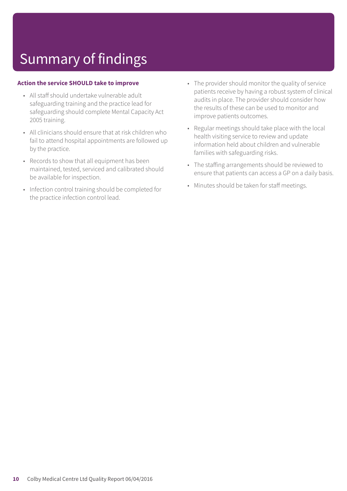#### **Action the service SHOULD take to improve**

- All staff should undertake vulnerable adult safeguarding training and the practice lead for safeguarding should complete Mental Capacity Act 2005 training.
- All clinicians should ensure that at risk children who fail to attend hospital appointments are followed up by the practice.
- Records to show that all equipment has been maintained, tested, serviced and calibrated should be available for inspection.
- Infection control training should be completed for the practice infection control lead.
- The provider should monitor the quality of service patients receive by having a robust system of clinical audits in place. The provider should consider how the results of these can be used to monitor and improve patients outcomes.
- Regular meetings should take place with the local health visiting service to review and update information held about children and vulnerable families with safeguarding risks.
- The staffing arrangements should be reviewed to ensure that patients can access a GP on a daily basis.
- Minutes should be taken for staff meetings.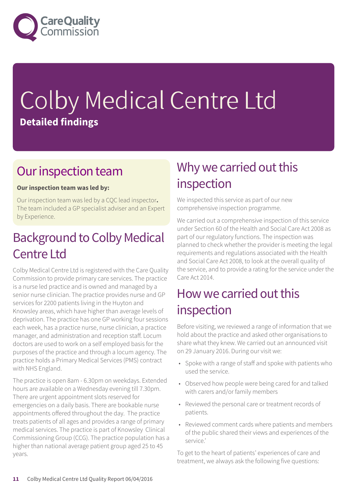

# Colby Medical Centre Ltd **Detailed findings**

### Our inspection team

#### **Our inspection team was led by:**

Our inspection team was led by a CQC lead inspector**.** The team included a GP specialist adviser and an Expert by Experience.

### Background to Colby Medical Centre Ltd

Colby Medical Centre Ltd is registered with the Care Quality Commission to provide primary care services. The practice is a nurse led practice and is owned and managed by a senior nurse clinician. The practice provides nurse and GP services for 2200 patients living in the Huyton and Knowsley areas, which have higher than average levels of deprivation. The practice has one GP working four sessions each week, has a practice nurse, nurse clinician, a practice manager, and administration and reception staff. Locum doctors are used to work on a self employed basis for the purposes of the practice and through a locum agency. The practice holds a Primary Medical Services (PMS) contract with NHS England.

The practice is open 8am - 6.30pm on weekdays. Extended hours are available on a Wednesday evening till 7.30pm. There are urgent appointment slots reserved for emergencies on a daily basis. There are bookable nurse appointments offered throughout the day. The practice treats patients of all ages and provides a range of primary medical services. The practice is part of Knowsley Clinical Commissioning Group (CCG). The practice population has a higher than national average patient group aged 25 to 45 years.

### Why we carried out this inspection

We inspected this service as part of our new comprehensive inspection programme.

We carried out a comprehensive inspection of this service under Section 60 of the Health and Social Care Act 2008 as part of our regulatory functions. The inspection was planned to check whether the provider is meeting the legal requirements and regulations associated with the Health and Social Care Act 2008, to look at the overall quality of the service, and to provide a rating for the service under the Care Act 2014.

### How we carried out this inspection

Before visiting, we reviewed a range of information that we hold about the practice and asked other organisations to share what they knew. We carried out an announced visit on 29 January 2016. During our visit we:

- Spoke with a range of staff and spoke with patients who used the service.
- Observed how people were being cared for and talked with carers and/or family members
- Reviewed the personal care or treatment records of patients.
- Reviewed comment cards where patients and members of the public shared their views and experiences of the service.'

To get to the heart of patients' experiences of care and treatment, we always ask the following five questions: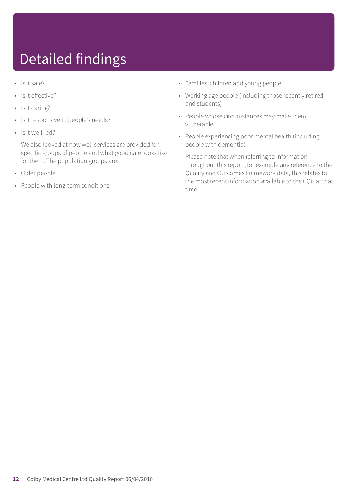## Detailed findings

- Is it safe?
- Is it effective?
- Is it caring?
- Is it responsive to people's needs?
- Is it well-led?

We also looked at how well services are provided for specific groups of people and what good care looks like for them. The population groups are:

- Older people
- People with long-term conditions
- Families, children and young people
- Working age people (including those recently retired and students)
- People whose circumstances may make them vulnerable
- People experiencing poor mental health (including people with dementia)

Please note that when referring to information throughout this report, for example any reference to the Quality and Outcomes Framework data, this relates to the most recent information available to the CQC at that time.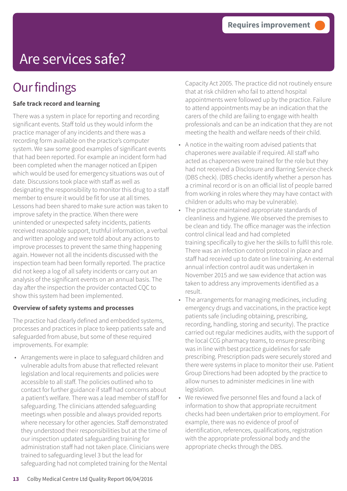## Are services safe?

### **Our findings**

#### **Safe track record and learning**

There was a system in place for reporting and recording significant events. Staff told us they would inform the practice manager of any incidents and there was a recording form available on the practice's computer system. We saw some good examples of significant events that had been reported. For example an incident form had been completed when the manager noticed an Epipen which would be used for emergency situations was out of date. Discussions took place with staff as well as designating the responsibility to monitor this drug to a staff member to ensure it would be fit for use at all times. Lessons had been shared to make sure action was taken to improve safety in the practice. When there were unintended or unexpected safety incidents, patients received reasonable support, truthful information, a verbal and written apology and were told about any actions to improve processes to prevent the same thing happening again. However not all the incidents discussed with the inspection team had been formally reported. The practice did not keep a log of all safety incidents or carry out an analysis of the significant events on an annual basis. The day after the inspection the provider contacted CQC to show this system had been implemented.

#### **Overview of safety systems and processes**

The practice had clearly defined and embedded systems, processes and practices in place to keep patients safe and safeguarded from abuse, but some of these required improvements. For example:

• Arrangements were in place to safeguard children and vulnerable adults from abuse that reflected relevant legislation and local requirements and policies were accessible to all staff. The policies outlined who to contact for further guidance if staff had concerns about a patient's welfare. There was a lead member of staff for safeguarding. The clinicians attended safeguarding meetings when possible and always provided reports where necessary for other agencies. Staff demonstrated they understood their responsibilities but at the time of our inspection updated safeguarding training for administration staff had not taken place. Clinicians were trained to safeguarding level 3 but the lead for safeguarding had not completed training for the Mental

Capacity Act 2005. The practice did not routinely ensure that at risk children who fail to attend hospital appointments were followed up by the practice. Failure to attend appointments may be an indication that the carers of the child are failing to engage with health professionals and can be an indication that they are not meeting the health and welfare needs of their child.

- A notice in the waiting room advised patients that chaperones were available if required. All staff who acted as chaperones were trained for the role but they had not received a Disclosure and Barring Service check (DBS check). (DBS checks identify whether a person has a criminal record or is on an official list of people barred from working in roles where they may have contact with children or adults who may be vulnerable).
- The practice maintained appropriate standards of cleanliness and hygiene. We observed the premises to be clean and tidy. The office manager was the infection control clinical lead and had completed training specifically to give her the skills to fulfil this role. There was an infection control protocol in place and staff had received up to date on line training. An external annual infection control audit was undertaken in November 2015 and we saw evidence that action was taken to address any improvements identified as a result.
- The arrangements for managing medicines, including emergency drugs and vaccinations, in the practice kept patients safe (including obtaining, prescribing, recording, handling, storing and security). The practice carried out regular medicines audits, with the support of the local CCG pharmacy teams, to ensure prescribing was in line with best practice guidelines for safe prescribing. Prescription pads were securely stored and there were systems in place to monitor their use. Patient Group Directions had been adopted by the practice to allow nurses to administer medicines in line with legislation.
- We reviewed five personnel files and found a lack of information to show that appropriate recruitment checks had been undertaken prior to employment. For example, there was no evidence of proof of identification, references, qualifications, registration with the appropriate professional body and the appropriate checks through the DBS.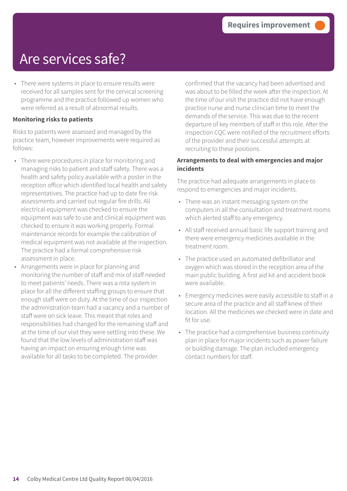### Are services safe?

• There were systems in place to ensure results were received for all samples sent for the cervical screening programme and the practice followed up women who were referred as a result of abnormal results.

#### **Monitoring risks to patients**

Risks to patients were assessed and managed by the practice team, however improvements were required as follows:

- There were procedures in place for monitoring and managing risks to patient and staff safety. There was a health and safety policy available with a poster in the reception office which identified local health and safety representatives. The practice had up to date fire risk assessments and carried out regular fire drills. All electrical equipment was checked to ensure the equipment was safe to use and clinical equipment was checked to ensure it was working properly. Formal maintenance records for example the calibration of medical equipment was not available at the inspection. The practice had a formal comprehensive risk assessment in place.
- Arrangements were in place for planning and monitoring the number of staff and mix of staff needed to meet patients' needs. There was a rota system in place for all the different staffing groups to ensure that enough staff were on duty. At the time of our inspection the administration team had a vacancy and a number of staff were on sick leave. This meant that roles and responsibilities had changed for the remaining staff and at the time of our visit they were settling into these. We found that the low levels of administration staff was having an impact on ensuring enough time was available for all tasks to be completed. The provider

confirmed that the vacancy had been advertised and was about to be filled the week after the inspection. At the time of our visit the practice did not have enough practice nurse and nurse clinician time to meet the demands of the service. This was due to the recent departure of key members of staff in this role. After the inspection CQC were notified of the recruitment efforts of the provider and their successful attempts at recruiting to these positions.

#### **Arrangements to deal with emergencies and major incidents**

The practice had adequate arrangements in place to respond to emergencies and major incidents.

- There was an instant messaging system on the computers in all the consultation and treatment rooms which alerted staff to any emergency.
- All staff received annual basic life support training and there were emergency medicines available in the treatment room.
- The practice used an automated defibrillator and oxygen which was stored in the reception area of the main public building. A first aid kit and accident book were available.
- Emergency medicines were easily accessible to staff in a secure area of the practice and all staff knew of their location. All the medicines we checked were in date and fit for use.
- The practice had a comprehensive business continuity plan in place for major incidents such as power failure or building damage. The plan included emergency contact numbers for staff.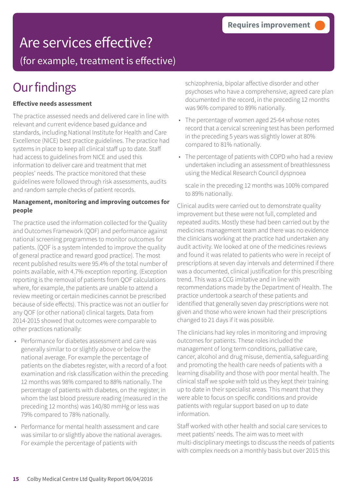### Are services effective?

(for example, treatment is effective)

### **Our findings**

#### **Effective needs assessment**

The practice assessed needs and delivered care in line with relevant and current evidence based guidance and standards, including National Institute for Health and Care Excellence (NICE) best practice guidelines. The practice had systems in place to keep all clinical staff up to date. Staff had access to guidelines from NICE and used this information to deliver care and treatment that met peoples' needs. The practice monitored that these guidelines were followed through risk assessments, audits and random sample checks of patient records.

#### **Management, monitoring and improving outcomes for people**

The practice used the information collected for the Quality and Outcomes Framework (QOF) and performance against national screening programmes to monitor outcomes for patients. (QOF is a system intended to improve the quality of general practice and reward good practice). The most recent published results were 95.4% of the total number of points available, with 4.7% exception reporting. (Exception reporting is the removal of patients from QOF calculations where, for example, the patients are unable to attend a review meeting or certain medicines cannot be prescribed because of side effects). This practice was not an outlier for any QOF (or other national) clinical targets. Data from 2014-2015 showed that outcomes were comparable to other practices nationally:

- Performance for diabetes assessment and care was generally similar to or slightly above or below the national average. For example the percentage of patients on the diabetes register, with a record of a foot examination and risk classification within the preceding 12 months was 98% compared to 88% nationally. The percentage of patients with diabetes, on the register, in whom the last blood pressure reading (measured in the preceding 12 months) was 140/80 mmHg or less was 79% compared to 78% nationally.
- Performance for mental health assessment and care was similar to or slightly above the national averages. For example the percentage of patients with

schizophrenia, bipolar affective disorder and other psychoses who have a comprehensive, agreed care plan documented in the record, in the preceding 12 months was 96% compared to 89% nationally.

- The percentage of women aged 25-64 whose notes record that a cervical screening test has been performed in the preceding 5 years was slightly lower at 80% compared to 81% nationally.
- The percentage of patients with COPD who had a review undertaken including an assessment of breathlessness using the Medical Research Council dyspnoea

scale in the preceding 12 months was 100% compared to 89% nationally.

Clinical audits were carried out to demonstrate quality improvement but these were not full, completed and repeated audits. Mostly these had been carried out by the medicines management team and there was no evidence the clinicians working at the practice had undertaken any audit activity. We looked at one of the medicines reviews and found it was related to patients who were in receipt of prescriptions at seven day intervals and determined if there was a documented, clinical justification for this prescribing trend. This was a CCG imitative and in line with recommendations made by the Department of Health. The practice undertook a search of these patients and identified that generally seven day prescriptions were not given and those who were known had their prescriptions changed to 21 days if it was possible.

The clinicians had key roles in monitoring and improving outcomes for patients. These roles included the management of long term conditions, palliative care, cancer, alcohol and drug misuse, dementia, safeguarding and promoting the health care needs of patients with a learning disability and those with poor mental health. The clinical staff we spoke with told us they kept their training up to date in their specialist areas. This meant that they were able to focus on specific conditions and provide patients with regular support based on up to date information.

Staff worked with other health and social care services to meet patients' needs. The aim was to meet with multi-disciplinary meetings to discuss the needs of patients with complex needs on a monthly basis but over 2015 this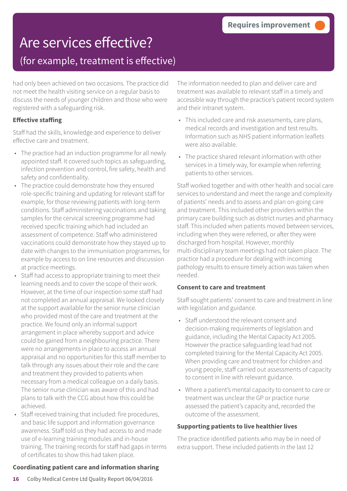# Are services effective?

### (for example, treatment is effective)

had only been achieved on two occasions. The practice did not meet the health visiting service on a regular basis to discuss the needs of younger children and those who were registered with a safeguarding risk.

#### **Effective staffing**

Staff had the skills, knowledge and experience to deliver effective care and treatment.

- The practice had an induction programme for all newly appointed staff. It covered such topics as safeguarding, infection prevention and control, fire safety, health and safety and confidentiality.
- The practice could demonstrate how they ensured role-specific training and updating for relevant staff for example, for those reviewing patients with long-term conditions. Staff administering vaccinations and taking samples for the cervical screening programme had received specific training which had included an assessment of competence. Staff who administered vaccinations could demonstrate how they stayed up to date with changes to the immunisation programmes, for example by access to on line resources and discussion at practice meetings.
- Staff had access to appropriate training to meet their learning needs and to cover the scope of their work. However, at the time of our inspection some staff had not completed an annual appraisal. We looked closely at the support available for the senior nurse clinician who provided most of the care and treatment at the practice. We found only an informal support arrangement in place whereby support and advice could be gained from a neighbouring practice. There were no arrangements in place to access an annual appraisal and no opportunities for this staff member to talk through any issues about their role and the care and treatment they provided to patients when necessary from a medical colleague on a daily basis. The senior nurse clinician was aware of this and had plans to talk with the CCG about how this could be achieved.
- Staff received training that included: fire procedures, and basic life support and information governance awareness. Staff told us they had access to and made use of e-learning training modules and in-house training. The training records for staff had gaps in terms of certificates to show this had taken place.

#### The information needed to plan and deliver care and treatment was available to relevant staff in a timely and accessible way through the practice's patient record system and their intranet system.

- This included care and risk assessments, care plans, medical records and investigation and test results. Information such as NHS patient information leaflets were also available.
- The practice shared relevant information with other services in a timely way, for example when referring patients to other services.

Staff worked together and with other health and social care services to understand and meet the range and complexity of patients' needs and to assess and plan on-going care and treatment. This included other providers within the primary care building such as district nurses and pharmacy staff. This included when patients moved between services, including when they were referred, or after they were discharged from hospital. However, monthly multi-disciplinary team meetings had not taken place. The practice had a procedure for dealing with incoming pathology results to ensure timely action was taken when needed.

#### **Consent to care and treatment**

Staff sought patients' consent to care and treatment in line with legislation and guidance.

- Staff understood the relevant consent and decision-making requirements of legislation and guidance, including the Mental Capacity Act 2005. However the practice safeguarding lead had not completed training for the Mental Capacity Act 2005. When providing care and treatment for children and young people, staff carried out assessments of capacity to consent in line with relevant guidance.
- Where a patient's mental capacity to consent to care or treatment was unclear the GP or practice nurse assessed the patient's capacity and, recorded the outcome of the assessment.

#### **Supporting patients to live healthier lives**

The practice identified patients who may be in need of extra support. These included patients in the last 12

#### **Coordinating patient care and information sharing**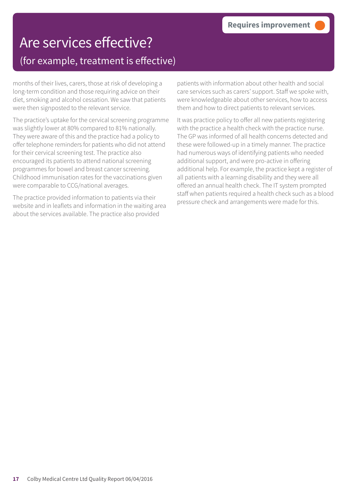### Are services effective? (for example, treatment is effective)

months of their lives, carers, those at risk of developing a long-term condition and those requiring advice on their diet, smoking and alcohol cessation. We saw that patients were then signposted to the relevant service.

The practice's uptake for the cervical screening programme was slightly lower at 80% compared to 81% nationally. They were aware of this and the practice had a policy to offer telephone reminders for patients who did not attend for their cervical screening test. The practice also encouraged its patients to attend national screening programmes for bowel and breast cancer screening. Childhood immunisation rates for the vaccinations given were comparable to CCG/national averages.

The practice provided information to patients via their website and in leaflets and information in the waiting area about the services available. The practice also provided

patients with information about other health and social care services such as carers' support. Staff we spoke with, were knowledgeable about other services, how to access them and how to direct patients to relevant services.

It was practice policy to offer all new patients registering with the practice a health check with the practice nurse. The GP was informed of all health concerns detected and these were followed-up in a timely manner. The practice had numerous ways of identifying patients who needed additional support, and were pro-active in offering additional help. For example, the practice kept a register of all patients with a learning disability and they were all offered an annual health check. The IT system prompted staff when patients required a health check such as a blood pressure check and arrangements were made for this.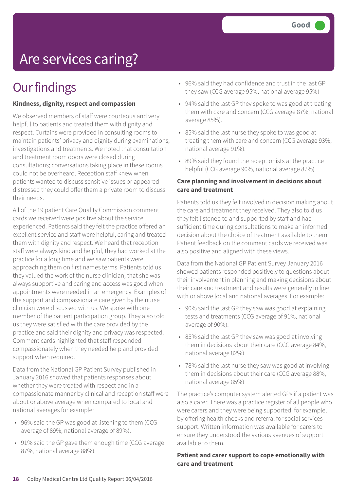## Are services caring?

### **Our findings**

#### **Kindness, dignity, respect and compassion**

We observed members of staff were courteous and very helpful to patients and treated them with dignity and respect. Curtains were provided in consulting rooms to maintain patients' privacy and dignity during examinations, investigations and treatments. We noted that consultation and treatment room doors were closed during consultations; conversations taking place in these rooms could not be overheard. Reception staff knew when patients wanted to discuss sensitive issues or appeared distressed they could offer them a private room to discuss their needs.

All of the 19 patient Care Quality Commission comment cards we received were positive about the service experienced. Patients said they felt the practice offered an excellent service and staff were helpful, caring and treated them with dignity and respect. We heard that reception staff were always kind and helpful, they had worked at the practice for a long time and we saw patients were approaching them on first names terms. Patients told us they valued the work of the nurse clinician, that she was always supportive and caring and access was good when appointments were needed in an emergency. Examples of the support and compassionate care given by the nurse clinician were discussed with us. We spoke with one member of the patient participation group. They also told us they were satisfied with the care provided by the practice and said their dignity and privacy was respected. Comment cards highlighted that staff responded compassionately when they needed help and provided support when required.

Data from the National GP Patient Survey published in January 2016 showed that patients responses about whether they were treated with respect and in a compassionate manner by clinical and reception staff were about or above average when compared to local and national averages for example:

- 96% said the GP was good at listening to them (CCG average of 89%, national average of 89%).
- 91% said the GP gave them enough time (CCG average 87%, national average 88%).
- 96% said they had confidence and trust in the last GP they saw (CCG average 95%, national average 95%)
- 94% said the last GP they spoke to was good at treating them with care and concern (CCG average 87%, national average 85%).
- 85% said the last nurse they spoke to was good at treating them with care and concern (CCG average 93%, national average 91%).
- 89% said they found the receptionists at the practice helpful (CCG average 90%, national average 87%)

#### **Care planning and involvement in decisions about care and treatment**

Patients told us they felt involved in decision making about the care and treatment they received. They also told us they felt listened to and supported by staff and had sufficient time during consultations to make an informed decision about the choice of treatment available to them. Patient feedback on the comment cards we received was also positive and aligned with these views.

Data from the National GP Patient Survey January 2016 showed patients responded positively to questions about their involvement in planning and making decisions about their care and treatment and results were generally in line with or above local and national averages. For example:

- 90% said the last GP they saw was good at explaining tests and treatments (CCG average of 91%, national average of 90%).
- 85% said the last GP they saw was good at involving them in decisions about their care (CCG average 84%, national average 82%)
- 78% said the last nurse they saw was good at involving them in decisions about their care (CCG average 88%, national average 85%)

The practice's computer system alerted GPs if a patient was also a carer. There was a practice register of all people who were carers and they were being supported, for example, by offering health checks and referral for social services support. Written information was available for carers to ensure they understood the various avenues of support available to them.

#### **Patient and carer support to cope emotionally with care and treatment**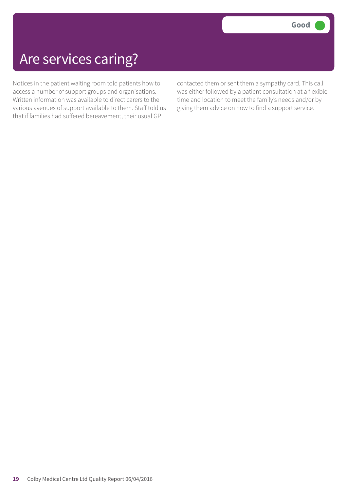### Are services caring?

Notices in the patient waiting room told patients how to access a number of support groups and organisations. Written information was available to direct carers to the various avenues of support available to them. Staff told us that if families had suffered bereavement, their usual GP

contacted them or sent them a sympathy card. This call was either followed by a patient consultation at a flexible time and location to meet the family's needs and/or by giving them advice on how to find a support service.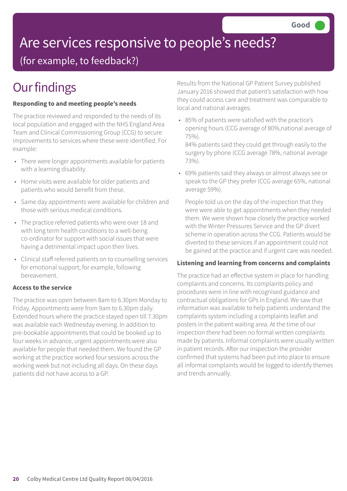## Are services responsive to people's needs?

(for example, to feedback?)

## **Our findings**

#### **Responding to and meeting people's needs**

The practice reviewed and responded to the needs of its local population and engaged with the NHS England Area Team and Clinical Commissioning Group (CCG) to secure improvements to services where these were identified. For example:

- There were longer appointments available for patients with a learning disability.
- Home visits were available for older patients and patients who would benefit from these.
- Same day appointments were available for children and those with serious medical conditions.
- The practice referred patients who were over 18 and with long term health conditions to a well-being co-ordinator for support with social issues that were having a detrimental impact upon their lives.
- Clinical staff referred patients on to counselling services for emotional support, for example, following bereavement.

#### **Access to the service**

The practice was open between 8am to 6.30pm Monday to Friday. Appointments were from 9am to 6.30pm daily. Extended hours where the practice stayed open till 7.30pm was available each Wednesday evening. In addition to pre-bookable appointments that could be booked up to four weeks in advance, urgent appointments were also available for people that needed them. We found the GP working at the practice worked four sessions across the working week but not including all days. On these days patients did not have access to a GP.

Results from the National GP Patient Survey published January 2016 showed that patient's satisfaction with how they could access care and treatment was comparable to local and national averages.

• 85% of patients were satisfied with the practice's opening hours (CCG average of 80%,national average of 75%).

84% patients said they could get through easily to the surgery by phone (CCG average 78%, national average 73%).

• 69% patients said they always or almost always see or speak to the GP they prefer (CCG average 65%, national average 59%).

People told us on the day of the inspection that they were were able to get appointments when they needed them. We were shown how closely the practice worked with the Winter Pressures Service and the GP divert scheme in operation across the CCG. Patients would be diverted to these services if an appointment could not be gained at the practice and if urgent care was needed.

#### **Listening and learning from concerns and complaints**

The practice had an effective system in place for handling complaints and concerns. Its complaints policy and procedures were in line with recognised guidance and contractual obligations for GPs in England. We saw that information was available to help patients understand the complaints system including a complaints leaflet and posters in the patient waiting area. At the time of our inspection there had been no formal written complaints made by patients. Informal complaints were usually written in patient records. After our inspection the provider confirmed that systems had been put into place to ensure all informal complaints would be logged to identify themes and trends annually.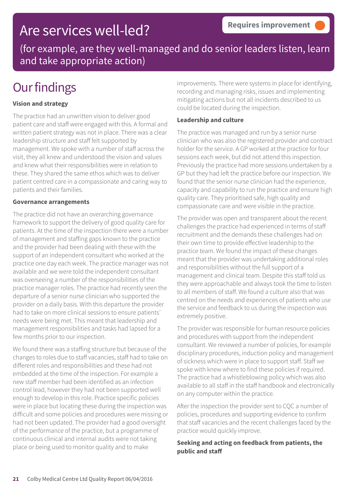### Are services well-led?

(for example, are they well-managed and do senior leaders listen, learn and take appropriate action)

### **Our findings**

#### **Vision and strategy**

The practice had an unwritten vision to deliver good patient care and staff were engaged with this. A formal and written patient strategy was not in place. There was a clear leadership structure and staff felt supported by management. We spoke with a number of staff across the visit, they all knew and understood the vision and values and knew what their responsibilities were in relation to these. They shared the same ethos which was to deliver patient centred care in a compassionate and caring way to patients and their families.

#### **Governance arrangements**

The practice did not have an overarching governance framework to support the delivery of good quality care for patients. At the time of the inspection there were a number of management and staffing gaps known to the practice and the provider had been dealing with these with the support of an independent consultant who worked at the practice one day each week. The practice manager was not available and we were told the independent consultant was overseeing a number of the responsibilities of the practice manager roles. The practice had recently seen the departure of a senior nurse clinician who supported the provider on a daily basis. With this departure the provider had to take on more clinical sessions to ensure patients' needs were being met. This meant that leadership and management responsibilities and tasks had lapsed for a few months prior to our inspection.

We found there was a staffing structure but because of the changes to roles due to staff vacancies, staff had to take on different roles and responsibilities and these had not embedded at the time of the inspection. For example a new staff member had been identified as an infection control lead, however they had not been supported well enough to develop in this role. Practice specific policies were in place but locating these during the inspection was difficult and some policies and procedures were missing or had not been updated. The provider had a good oversight of the performance of the practice, but a programme of continuous clinical and internal audits were not taking place or being used to monitor quality and to make

improvements. There were systems in place for identifying, recording and managing risks, issues and implementing mitigating actions but not all incidents described to us could be located during the inspection.

#### **Leadership and culture**

The practice was managed and run by a senior nurse clinician who was also the registered provider and contract holder for the service. A GP worked at the practice for four sessions each week, but did not attend this inspection. Previously the practice had more sessions undertaken by a GP but they had left the practice before our inspection. We found that the senior nurse clinician had the experience, capacity and capability to run the practice and ensure high quality care. They prioritised safe, high quality and compassionate care and were visible in the practice.

The provider was open and transparent about the recent challenges the practice had experienced in terms of staff recruitment and the demands these challenges had on their own time to provide effective leadership to the practice team. We found the impact of these changes meant that the provider was undertaking additional roles and responsibilities without the full support of a management and clinical team. Despite this staff told us they were approachable and always took the time to listen to all members of staff. We found a culture also that was centred on the needs and experiences of patients who use the service and feedback to us during the inspection was extremely positive.

The provider was responsible for human resource policies and procedures with support from the independent consultant. We reviewed a number of policies, for example disciplinary procedures, induction policy and management of sickness which were in place to support staff. Staff we spoke with knew where to find these policies if required. The practice had a whistleblowing policy which was also available to all staff in the staff handbook and electronically on any computer within the practice.

After the inspection the provider sent to CQC a number of policies, procedures and supporting evidence to confirm that staff vacancies and the recent challenges faced by the practice would quickly improve.

#### **Seeking and acting on feedback from patients, the public and staff**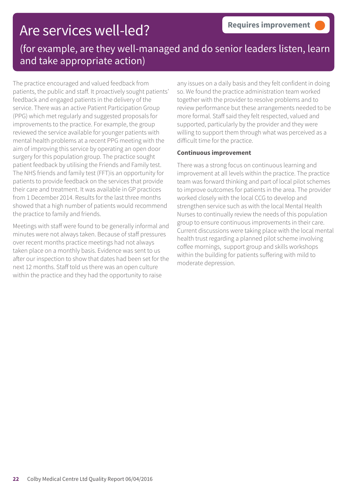### Are services well-led?

### (for example, are they well-managed and do senior leaders listen, learn and take appropriate action)

The practice encouraged and valued feedback from patients, the public and staff. It proactively sought patients' feedback and engaged patients in the delivery of the service. There was an active Patient Participation Group (PPG) which met regularly and suggested proposals for improvements to the practice. For example, the group reviewed the service available for younger patients with mental health problems at a recent PPG meeting with the aim of improving this service by operating an open door surgery for this population group. The practice sought patient feedback by utilising the Friends and Family test. The NHS friends and family test (FFT)is an opportunity for patients to provide feedback on the services that provide their care and treatment. It was available in GP practices from 1 December 2014. Results for the last three months showed that a high number of patients would recommend the practice to family and friends.

Meetings with staff were found to be generally informal and minutes were not always taken. Because of staff pressures over recent months practice meetings had not always taken place on a monthly basis. Evidence was sent to us after our inspection to show that dates had been set for the next 12 months. Staff told us there was an open culture within the practice and they had the opportunity to raise

any issues on a daily basis and they felt confident in doing so. We found the practice administration team worked together with the provider to resolve problems and to review performance but these arrangements needed to be more formal. Staff said they felt respected, valued and supported, particularly by the provider and they were willing to support them through what was perceived as a difficult time for the practice.

#### **Continuous improvement**

There was a strong focus on continuous learning and improvement at all levels within the practice. The practice team was forward thinking and part of local pilot schemes to improve outcomes for patients in the area. The provider worked closely with the local CCG to develop and strengthen service such as with the local Mental Health Nurses to continually review the needs of this population group to ensure continuous improvements in their care. Current discussions were taking place with the local mental health trust regarding a planned pilot scheme involving coffee mornings, support group and skills workshops within the building for patients suffering with mild to moderate depression.